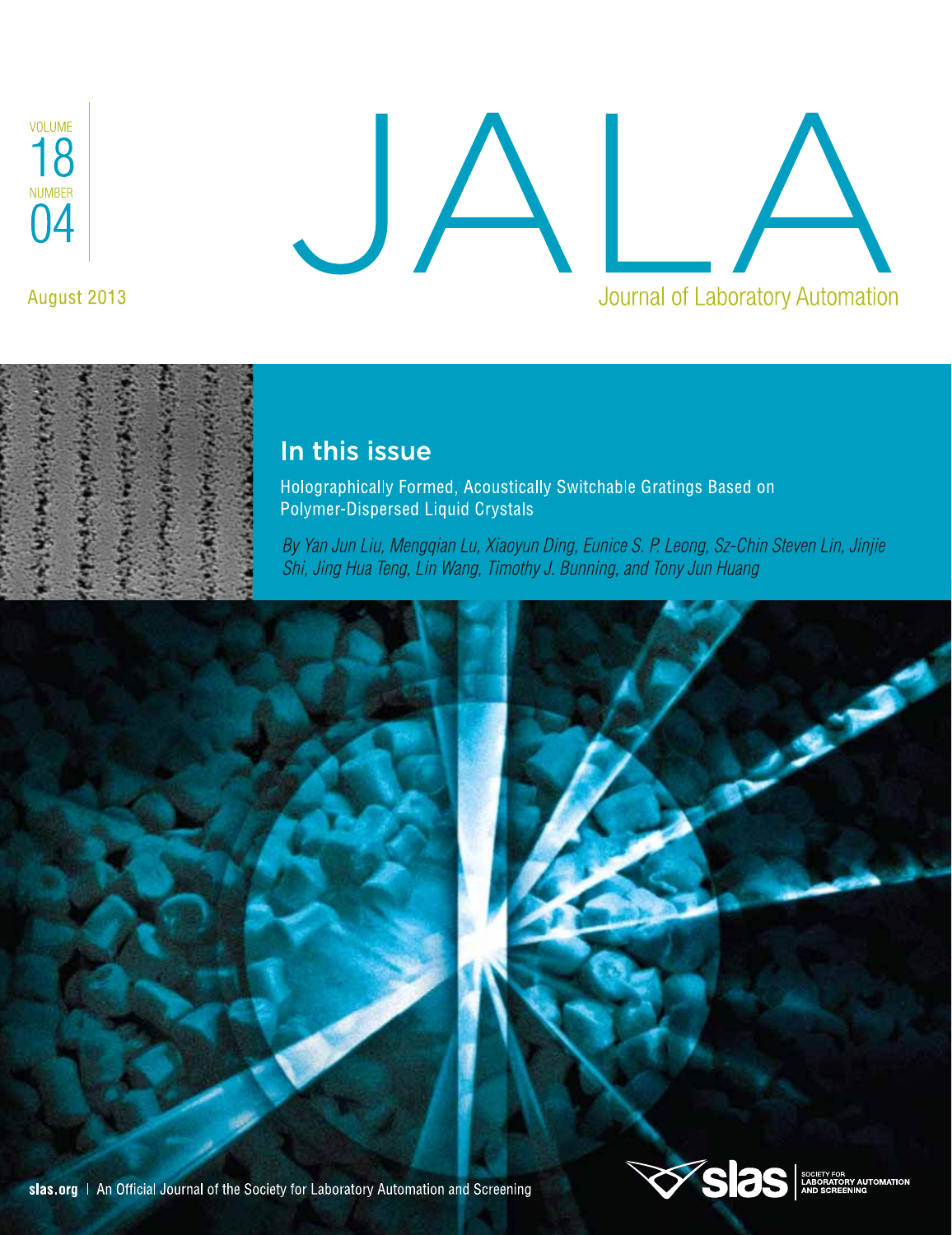

August 2013

# JA A Journal of Laboratory Automation



### In this issue

Holographically Formed, Acoustically Switchable Gratings Based on Polymer-Dispersed Liquid Crystals

By Yan Jun Liu, Mengqian Lu, Xiaoyun Ding, Eunice S. P. Leong, Sz-Chin Steven Lin, Jinjie Shi, Jing Hua Teng, Lin Wang, Timothy J. Bunning, and Tony Jun Huang



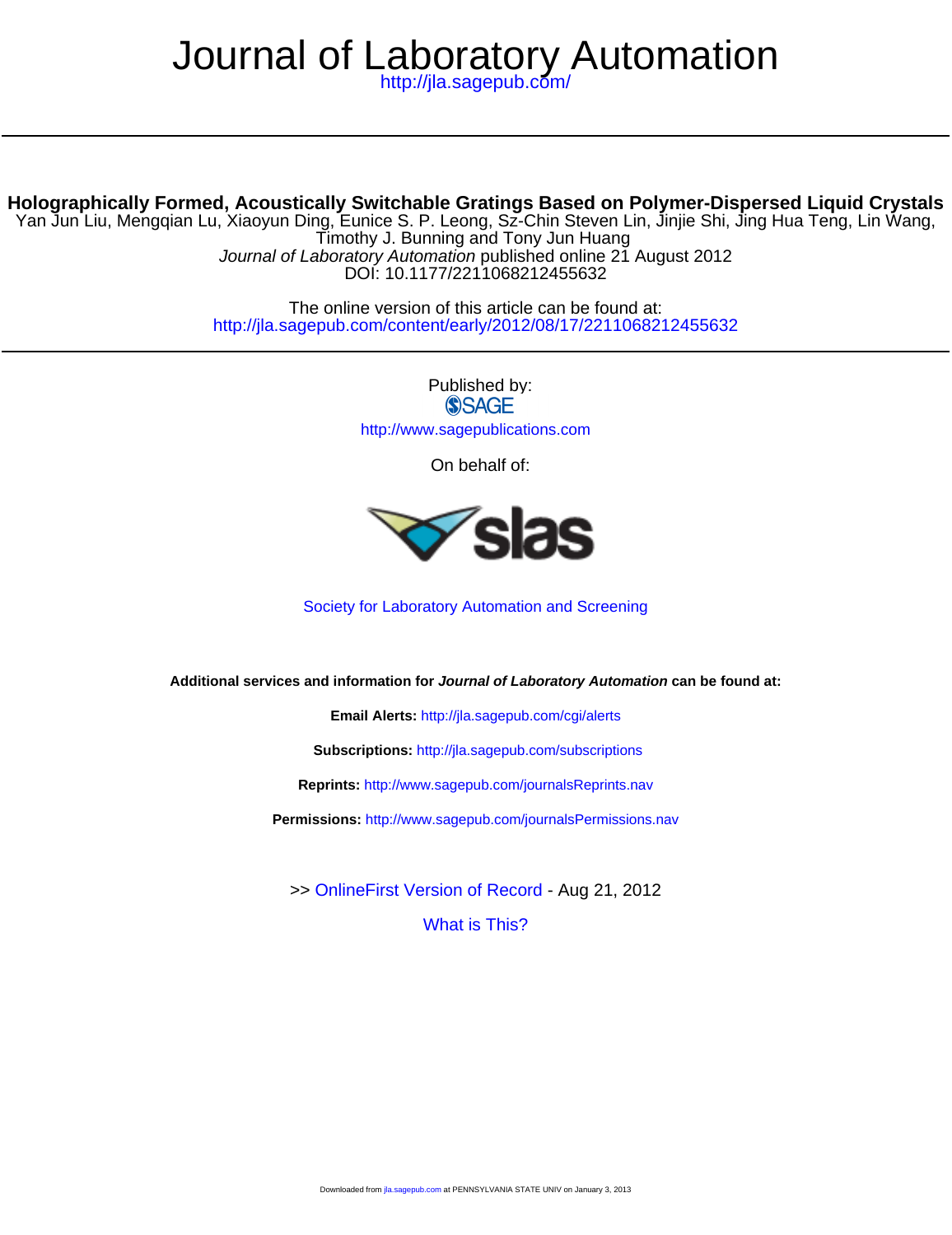## Journal of Laboratory Automation

<http://jla.sagepub.com/>

#### **Holographically Formed, Acoustically Switchable Gratings Based on Polymer-Dispersed Liquid Crystals**

DOI: 10.1177/2211068212455632 Journal of Laboratory Automation published online 21 August 2012 Timothy J. Bunning and Tony Jun Huang Yan Jun Liu, Mengqian Lu, Xiaoyun Ding, Eunice S. P. Leong, Sz-Chin Steven Lin, Jinjie Shi, Jing Hua Teng, Lin Wang,

> <http://jla.sagepub.com/content/early/2012/08/17/2211068212455632> The online version of this article can be found at:

> > Published by: **SSAGE** <http://www.sagepublications.com>

> > > On behalf of:



[Society for Laboratory Automation and Screening](http://slas.org)

**Additional services and information for Journal of Laboratory Automation can be found at:**

**Email Alerts:** <http://jla.sagepub.com/cgi/alerts>

**Subscriptions:** <http://jla.sagepub.com/subscriptions>

**Reprints:** <http://www.sagepub.com/journalsReprints.nav>

**Permissions:** <http://www.sagepub.com/journalsPermissions.nav>

>> [OnlineFirst Version of Record -](http://jla.sagepub.com/content/early/2012/08/17/2211068212455632.full.pdf) Aug 21, 2012

[What is This?](http://online.sagepub.com/site/sphelp/vorhelp.xhtml)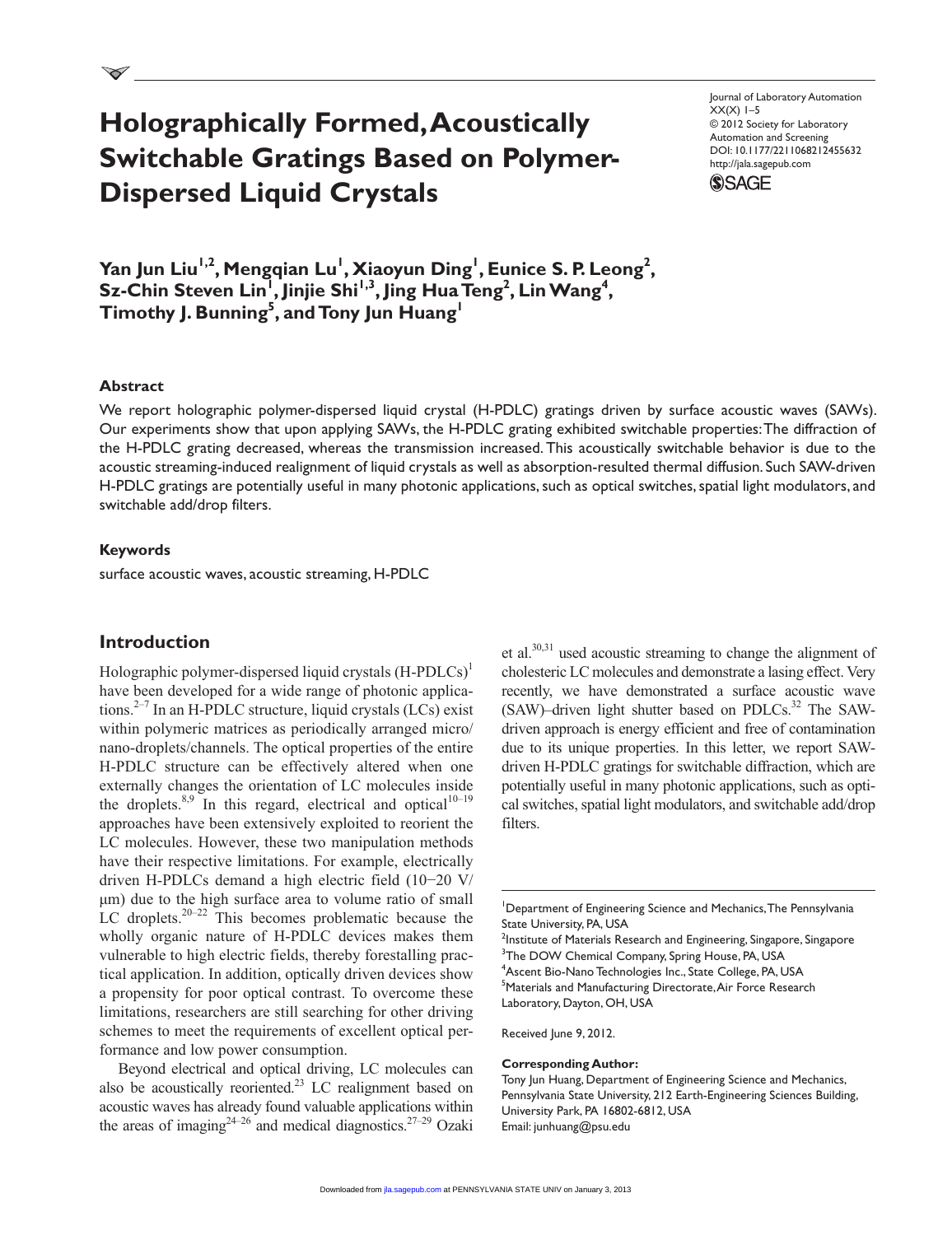## **Holographically Formed, Acoustically Switchable Gratings Based on Polymer-Dispersed Liquid Crystals**

Journal of Laboratory Automation  $XX(X)$  1–5 © 2012 Society for Laboratory Automation and Screening DOI: 10.1177/2211068212455632 http://jala.sagepub.com



**Yan Jun Liu<sup>1,2</sup>, Mengqian Lu<sup>1</sup>, Xiaoyun Ding<sup>1</sup>, Eunice S. P. Leong<sup>2</sup>,**  $\overline{\text{Sz-Chin}}$  Steven Lin<sup>1</sup>, Jinjie Shi<sup>1,3</sup>, Jing Hua Teng<sup>2</sup>, Lin Wang<sup>4</sup>, **Timothy J. Bunning<sup>5</sup> , and Tony Jun Huang1**

#### **Abstract**

We report holographic polymer-dispersed liquid crystal (H-PDLC) gratings driven by surface acoustic waves (SAWs). Our experiments show that upon applying SAWs, the H-PDLC grating exhibited switchable properties: The diffraction of the H-PDLC grating decreased, whereas the transmission increased. This acoustically switchable behavior is due to the acoustic streaming-induced realignment of liquid crystals as well as absorption-resulted thermal diffusion. Such SAW-driven H-PDLC gratings are potentially useful in many photonic applications, such as optical switches, spatial light modulators, and switchable add/drop filters.

#### **Keywords**

surface acoustic waves, acoustic streaming, H-PDLC

#### **Introduction**

Holographic polymer-dispersed liquid crystals  $(H-PDLCs)^{1}$ have been developed for a wide range of photonic applications. $2^{-7}$  In an H-PDLC structure, liquid crystals (LCs) exist within polymeric matrices as periodically arranged micro/ nano-droplets/channels. The optical properties of the entire H-PDLC structure can be effectively altered when one externally changes the orientation of LC molecules inside the droplets.<sup>8,9</sup> In this regard, electrical and optical<sup>10-19</sup> approaches have been extensively exploited to reorient the LC molecules. However, these two manipulation methods have their respective limitations. For example, electrically driven H-PDLCs demand a high electric field (10−20 V/ µm) due to the high surface area to volume ratio of small LC droplets. $20-22$  This becomes problematic because the wholly organic nature of H-PDLC devices makes them vulnerable to high electric fields, thereby forestalling practical application. In addition, optically driven devices show a propensity for poor optical contrast. To overcome these limitations, researchers are still searching for other driving schemes to meet the requirements of excellent optical performance and low power consumption.

Beyond electrical and optical driving, LC molecules can also be acoustically reoriented.<sup>23</sup> LC realignment based on acoustic waves has already found valuable applications within the areas of imaging<sup>24–26</sup> and medical diagnostics.<sup>27–29</sup> Ozaki

et al. $30,31$  used acoustic streaming to change the alignment of cholesteric LC molecules and demonstrate a lasing effect. Very recently, we have demonstrated a surface acoustic wave  $(SAW)$ –driven light shutter based on PDLCs.<sup>32</sup> The SAWdriven approach is energy efficient and free of contamination due to its unique properties. In this letter, we report SAWdriven H-PDLC gratings for switchable diffraction, which are potentially useful in many photonic applications, such as optical switches, spatial light modulators, and switchable add/drop filters.

 $^2$ Institute of Materials Research and Engineering, Singapore, Singapore <sup>3</sup>The DOW Chemical Company, Spring House, PA, USA 4 Ascent Bio-Nano Technologies Inc., State College, PA, USA <sup>5</sup>Materials and Manufacturing Directorate, Air Force Research Laboratory, Dayton, OH, USA

Received June 9, 2012.

#### **Corresponding Author:**

Tony Jun Huang, Department of Engineering Science and Mechanics, Pennsylvania State University, 212 Earth-Engineering Sciences Building, University Park, PA 16802-6812, USA Email: junhuang@psu.edu

<sup>&</sup>lt;sup>1</sup>Department of Engineering Science and Mechanics, The Pennsylvania State University, PA, USA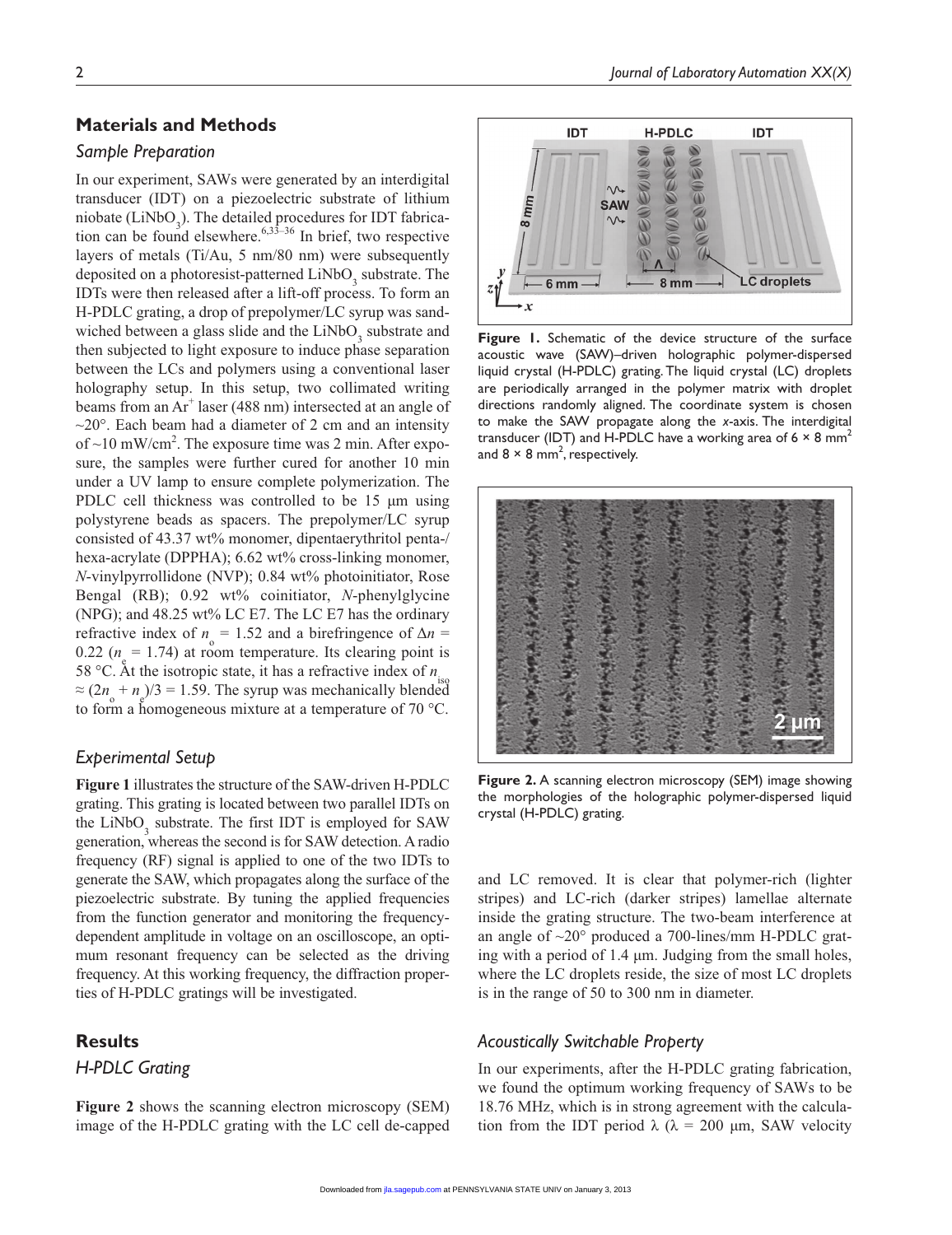#### **Materials and Methods**

#### *Sample Preparation*

In our experiment, SAWs were generated by an interdigital transducer (IDT) on a piezoelectric substrate of lithium niobate (LiNbO<sub>3</sub>). The detailed procedures for IDT fabrication can be found elsewhere.<sup>6,33–36</sup> In brief, two respective layers of metals (Ti/Au, 5 nm/80 nm) were subsequently deposited on a photoresist-patterned  $LiNbO<sub>3</sub>$  substrate. The IDTs were then released after a lift-off process. To form an H-PDLC grating, a drop of prepolymer/LC syrup was sandwiched between a glass slide and the  $LiNbO<sub>3</sub>$  substrate and then subjected to light exposure to induce phase separation between the LCs and polymers using a conventional laser holography setup. In this setup, two collimated writing beams from an Ar<sup>+</sup> laser (488 nm) intersected at an angle of  $\sim$ 20 $^{\circ}$ . Each beam had a diameter of 2 cm and an intensity of  $\sim$ 10 mW/cm<sup>2</sup>. The exposure time was 2 min. After exposure, the samples were further cured for another 10 min under a UV lamp to ensure complete polymerization. The PDLC cell thickness was controlled to be 15 µm using polystyrene beads as spacers. The prepolymer/LC syrup consisted of 43.37 wt% monomer, dipentaerythritol penta-/ hexa-acrylate (DPPHA); 6.62 wt% cross-linking monomer, *N*-vinylpyrrollidone (NVP); 0.84 wt% photoinitiator, Rose Bengal (RB); 0.92 wt% coinitiator, *N*-phenylglycine (NPG); and 48.25 wt% LC E7. The LC E7 has the ordinary refractive index of  $n_{\text{o}} = 1.52$  and a birefringence of  $\Delta n =$ 0.22 ( $n_e$  = 1.74) at room temperature. Its clearing point is 58 °C. At the isotropic state, it has a refractive index of  $n_{\text{in}}$  $\approx (2n_{\rm e} + n_{\rm g})/3 = 1.59$ . The syrup was mechanically blended to form a homogeneous mixture at a temperature of 70 °C.

#### *Experimental Setup*

**Figure 1** illustrates the structure of the SAW-driven H-PDLC grating. This grating is located between two parallel IDTs on the  $LiNbO<sub>3</sub>$  substrate. The first IDT is employed for SAW generation, whereas the second is for SAW detection. A radio frequency (RF) signal is applied to one of the two IDTs to generate the SAW, which propagates along the surface of the piezoelectric substrate. By tuning the applied frequencies from the function generator and monitoring the frequencydependent amplitude in voltage on an oscilloscope, an optimum resonant frequency can be selected as the driving frequency. At this working frequency, the diffraction properties of H-PDLC gratings will be investigated.

#### **Results**

*H-PDLC Grating*

**Figure 2** shows the scanning electron microscopy (SEM) image of the H-PDLC grating with the LC cell de-capped



**Figure 1.** Schematic of the device structure of the surface acoustic wave (SAW)–driven holographic polymer-dispersed liquid crystal (H-PDLC) grating. The liquid crystal (LC) droplets are periodically arranged in the polymer matrix with droplet directions randomly aligned. The coordinate system is chosen to make the SAW propagate along the *x*-axis. The interdigital transducer (IDT) and H-PDLC have a working area of 6  $\times$  8 mm<sup>2</sup> and 8  $\times$  8 mm<sup>2</sup>, respectively.



**Figure 2.** A scanning electron microscopy (SEM) image showing the morphologies of the holographic polymer-dispersed liquid crystal (H-PDLC) grating.

and LC removed. It is clear that polymer-rich (lighter stripes) and LC-rich (darker stripes) lamellae alternate inside the grating structure. The two-beam interference at an angle of ~20° produced a 700-lines/mm H-PDLC grating with a period of 1.4 µm. Judging from the small holes, where the LC droplets reside, the size of most LC droplets is in the range of 50 to 300 nm in diameter.

#### *Acoustically Switchable Property*

In our experiments, after the H-PDLC grating fabrication, we found the optimum working frequency of SAWs to be 18.76 MHz, which is in strong agreement with the calculation from the IDT period  $\lambda$  ( $\lambda$  = 200 µm, SAW velocity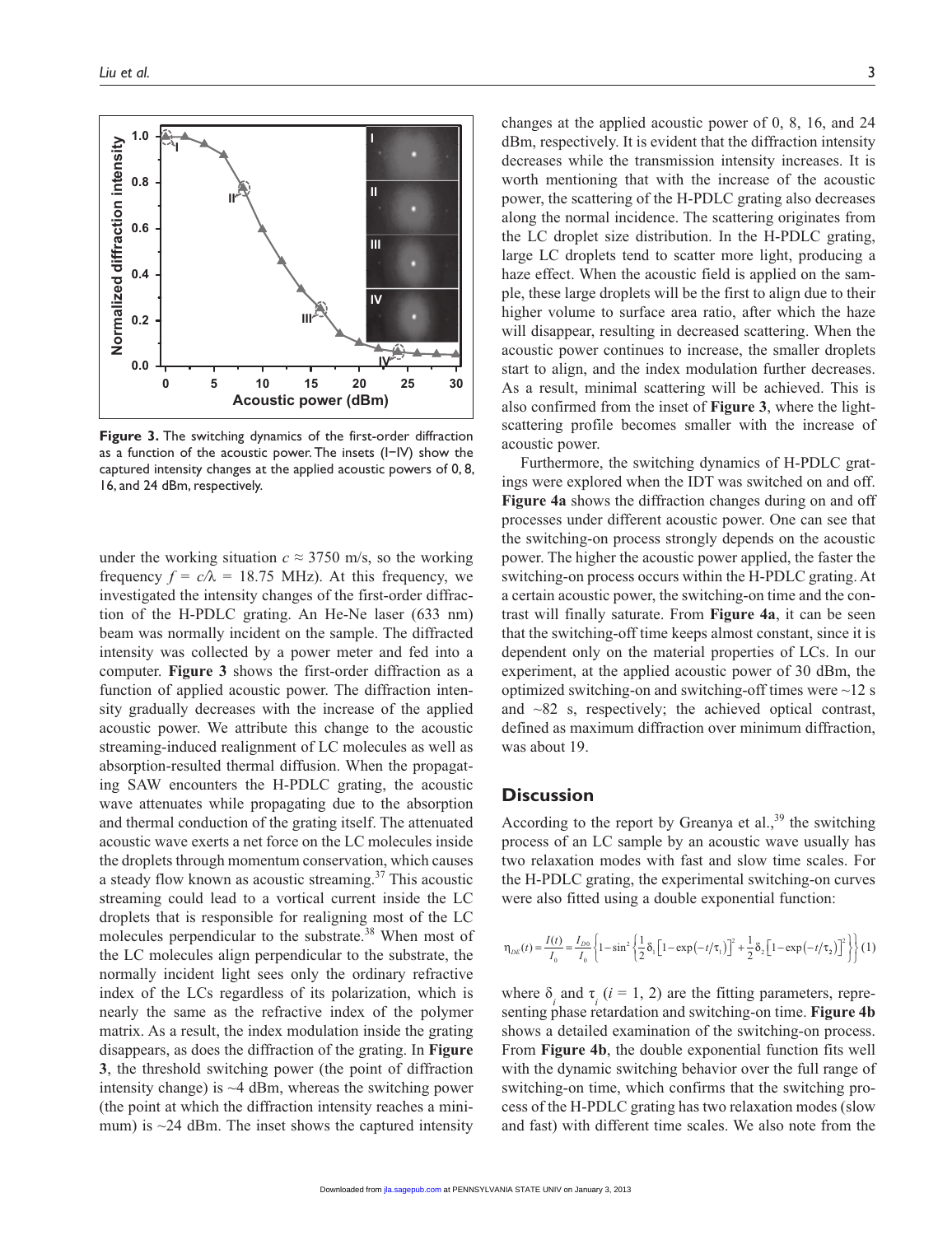

**Figure 3.** The switching dynamics of the first-order diffraction as a function of the acoustic power. The insets (I−IV) show the captured intensity changes at the applied acoustic powers of 0, 8, 16, and 24 dBm, respectively.

under the working situation  $c \approx 3750$  m/s, so the working frequency  $f = c/\lambda = 18.75$  MHz). At this frequency, we investigated the intensity changes of the first-order diffraction of the H-PDLC grating. An He-Ne laser (633 nm) beam was normally incident on the sample. The diffracted intensity was collected by a power meter and fed into a computer. **Figure 3** shows the first-order diffraction as a function of applied acoustic power. The diffraction intensity gradually decreases with the increase of the applied acoustic power. We attribute this change to the acoustic streaming-induced realignment of LC molecules as well as absorption-resulted thermal diffusion. When the propagating SAW encounters the H-PDLC grating, the acoustic wave attenuates while propagating due to the absorption and thermal conduction of the grating itself. The attenuated acoustic wave exerts a net force on the LC molecules inside the droplets through momentum conservation, which causes a steady flow known as acoustic streaming. $37$  This acoustic streaming could lead to a vortical current inside the LC droplets that is responsible for realigning most of the LC molecules perpendicular to the substrate.<sup>38</sup> When most of the LC molecules align perpendicular to the substrate, the normally incident light sees only the ordinary refractive index of the LCs regardless of its polarization, which is nearly the same as the refractive index of the polymer matrix. As a result, the index modulation inside the grating disappears, as does the diffraction of the grating. In **Figure 3**, the threshold switching power (the point of diffraction intensity change) is  $\sim$  4 dBm, whereas the switching power (the point at which the diffraction intensity reaches a minimum) is  $\sim$ 24 dBm. The inset shows the captured intensity

changes at the applied acoustic power of 0, 8, 16, and 24 dBm, respectively. It is evident that the diffraction intensity decreases while the transmission intensity increases. It is worth mentioning that with the increase of the acoustic power, the scattering of the H-PDLC grating also decreases along the normal incidence. The scattering originates from the LC droplet size distribution. In the H-PDLC grating, large LC droplets tend to scatter more light, producing a haze effect. When the acoustic field is applied on the sample, these large droplets will be the first to align due to their higher volume to surface area ratio, after which the haze will disappear, resulting in decreased scattering. When the acoustic power continues to increase, the smaller droplets start to align, and the index modulation further decreases. As a result, minimal scattering will be achieved. This is also confirmed from the inset of **Figure 3**, where the lightscattering profile becomes smaller with the increase of acoustic power.

Furthermore, the switching dynamics of H-PDLC gratings were explored when the IDT was switched on and off. **Figure 4a** shows the diffraction changes during on and off processes under different acoustic power. One can see that the switching-on process strongly depends on the acoustic power. The higher the acoustic power applied, the faster the switching-on process occurs within the H-PDLC grating. At a certain acoustic power, the switching-on time and the contrast will finally saturate. From **Figure 4a**, it can be seen that the switching-off time keeps almost constant, since it is dependent only on the material properties of LCs. In our experiment, at the applied acoustic power of 30 dBm, the optimized switching-on and switching-off times were  $\sim$ 12 s and ~82 s, respectively; the achieved optical contrast, defined as maximum diffraction over minimum diffraction, was about 19.

#### **Discussion**

According to the report by Greanya et al.,<sup>39</sup> the switching process of an LC sample by an acoustic wave usually has two relaxation modes with fast and slow time scales. For the H-PDLC grating, the experimental switching-on curves were also fitted using a double exponential function:

$$
\eta_{DE}(t) = \frac{I(t)}{I_0} = \frac{I_{D0}}{I_0} \left\{ 1 - \sin^2 \left\{ \frac{1}{2} \delta_i \left[ 1 - \exp\left( -t/\tau_1 \right) \right]^2 + \frac{1}{2} \delta_2 \left[ 1 - \exp\left( -t/\tau_2 \right) \right]^2 \right\} \right\} (1)
$$

where  $\delta$ <sub>*i*</sub> and  $\tau$ <sub>*i*</sub> (*i* = 1, 2) are the fitting parameters, representing phase retardation and switching-on time. **Figure 4b** shows a detailed examination of the switching-on process. From **Figure 4b**, the double exponential function fits well with the dynamic switching behavior over the full range of switching-on time, which confirms that the switching process of the H-PDLC grating has two relaxation modes (slow and fast) with different time scales. We also note from the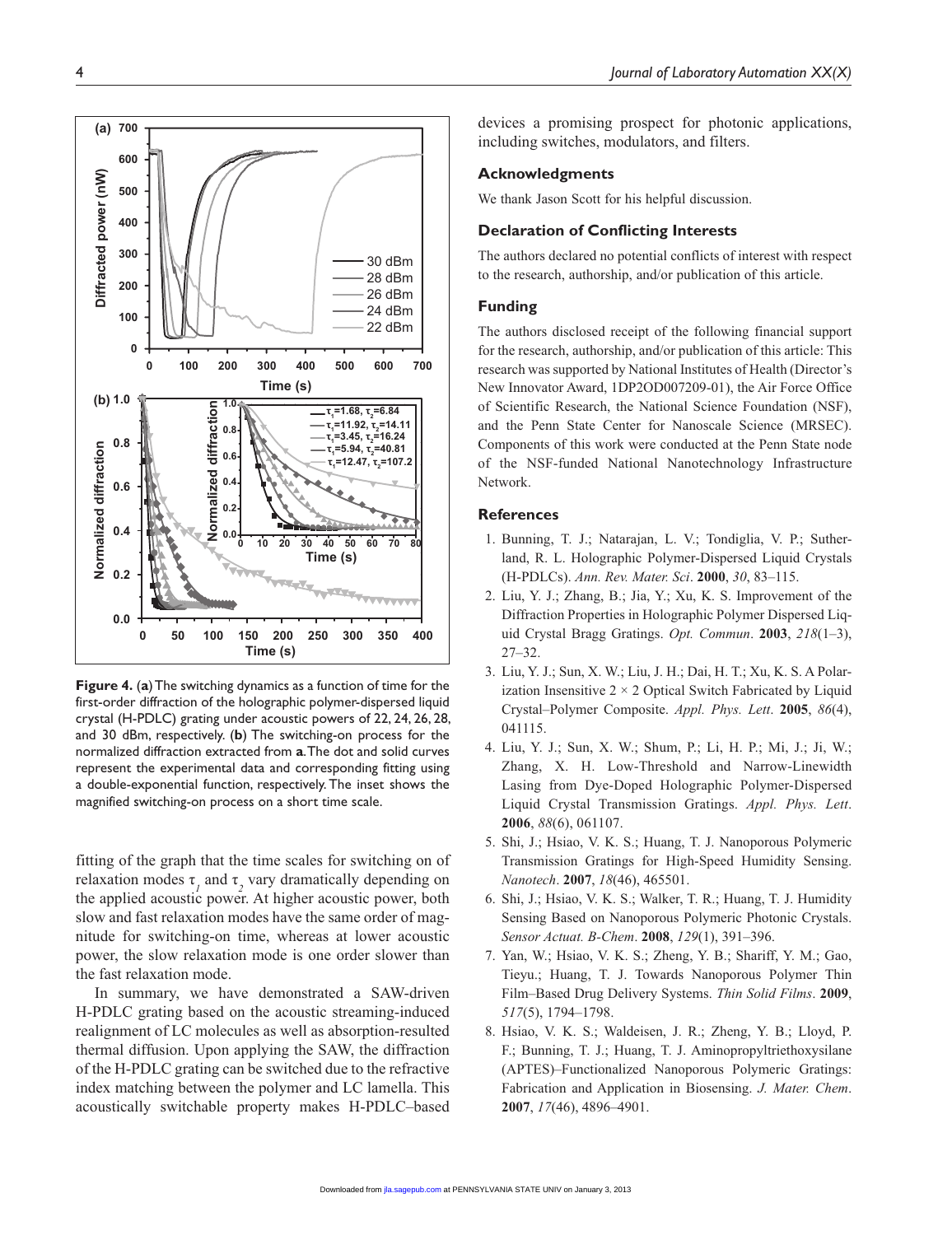

**Figure 4.** (**a**) The switching dynamics as a function of time for the first-order diffraction of the holographic polymer-dispersed liquid crystal (H-PDLC) grating under acoustic powers of 22, 24, 26, 28, and 30 dBm, respectively. (**b**) The switching-on process for the normalized diffraction extracted from **a**. The dot and solid curves represent the experimental data and corresponding fitting using a double-exponential function, respectively. The inset shows the magnified switching-on process on a short time scale.

fitting of the graph that the time scales for switching on of relaxation modes  $\tau$ <sub>*l*</sub> and  $\tau$ <sub>2</sub> vary dramatically depending on the applied acoustic power. At higher acoustic power, both slow and fast relaxation modes have the same order of magnitude for switching-on time, whereas at lower acoustic power, the slow relaxation mode is one order slower than the fast relaxation mode.

In summary, we have demonstrated a SAW-driven H-PDLC grating based on the acoustic streaming-induced realignment of LC molecules as well as absorption-resulted thermal diffusion. Upon applying the SAW, the diffraction of the H-PDLC grating can be switched due to the refractive index matching between the polymer and LC lamella. This acoustically switchable property makes H-PDLC–based devices a promising prospect for photonic applications, including switches, modulators, and filters.

#### **Acknowledgments**

We thank Jason Scott for his helpful discussion.

#### **Declaration of Conflicting Interests**

The authors declared no potential conflicts of interest with respect to the research, authorship, and/or publication of this article.

#### **Funding**

The authors disclosed receipt of the following financial support for the research, authorship, and/or publication of this article: This research was supported by National Institutes of Health (Director's New Innovator Award, 1DP2OD007209-01), the Air Force Office of Scientific Research, the National Science Foundation (NSF), and the Penn State Center for Nanoscale Science (MRSEC). Components of this work were conducted at the Penn State node of the NSF-funded National Nanotechnology Infrastructure Network.

#### **References**

- 1. Bunning, T. J.; Natarajan, L. V.; Tondiglia, V. P.; Sutherland, R. L. Holographic Polymer-Dispersed Liquid Crystals (H-PDLCs). *Ann. Rev. Mater. Sci*. **2000**, *30*, 83–115.
- 2. Liu, Y. J.; Zhang, B.; Jia, Y.; Xu, K. S. Improvement of the Diffraction Properties in Holographic Polymer Dispersed Liquid Crystal Bragg Gratings. *Opt. Commun*. **2003**, *218*(1–3), 27–32.
- 3. Liu, Y. J.; Sun, X. W.; Liu, J. H.; Dai, H. T.; Xu, K. S. A Polarization Insensitive  $2 \times 2$  Optical Switch Fabricated by Liquid Crystal–Polymer Composite. *Appl. Phys. Lett*. **2005**, *86*(4), 041115.
- 4. Liu, Y. J.; Sun, X. W.; Shum, P.; Li, H. P.; Mi, J.; Ji, W.; Zhang, X. H. Low-Threshold and Narrow-Linewidth Lasing from Dye-Doped Holographic Polymer-Dispersed Liquid Crystal Transmission Gratings. *Appl. Phys. Lett*. **2006**, *88*(6), 061107.
- 5. Shi, J.; Hsiao, V. K. S.; Huang, T. J. Nanoporous Polymeric Transmission Gratings for High-Speed Humidity Sensing. *Nanotech*. **2007**, *18*(46), 465501.
- 6. Shi, J.; Hsiao, V. K. S.; Walker, T. R.; Huang, T. J. Humidity Sensing Based on Nanoporous Polymeric Photonic Crystals. *Sensor Actuat. B-Chem*. **2008**, *129*(1), 391–396.
- 7. Yan, W.; Hsiao, V. K. S.; Zheng, Y. B.; Shariff, Y. M.; Gao, Tieyu.; Huang, T. J. Towards Nanoporous Polymer Thin Film–Based Drug Delivery Systems. *Thin Solid Films*. **2009**, *517*(5), 1794–1798.
- 8. Hsiao, V. K. S.; Waldeisen, J. R.; Zheng, Y. B.; Lloyd, P. F.; Bunning, T. J.; Huang, T. J. Aminopropyltriethoxysilane (APTES)–Functionalized Nanoporous Polymeric Gratings: Fabrication and Application in Biosensing. *J. Mater. Chem*. **2007**, *17*(46), 4896–4901.